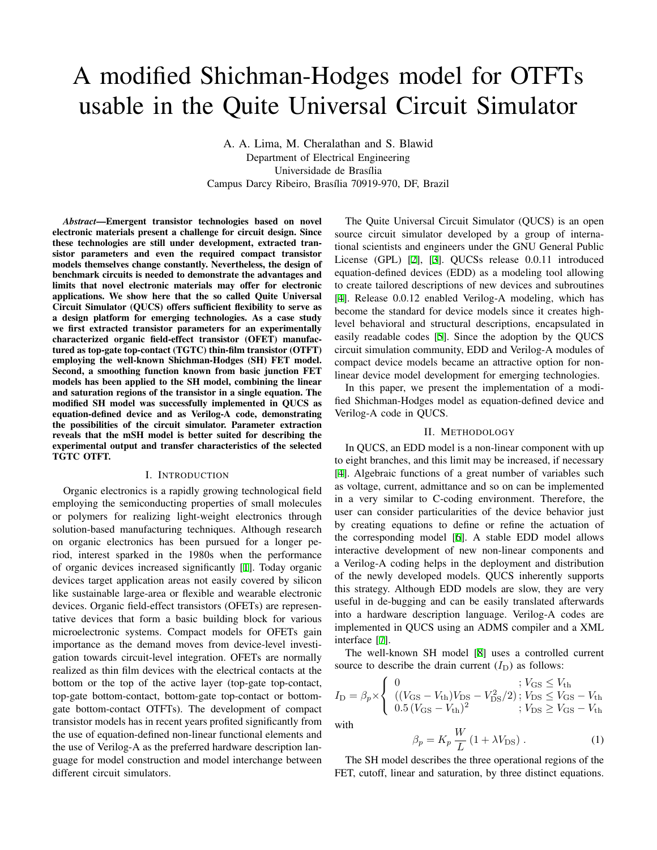# A modified Shichman-Hodges model for OTFTs usable in the Quite Universal Circuit Simulator

A. A. Lima, M. Cheralathan and S. Blawid Department of Electrical Engineering Universidade de Brasília Campus Darcy Ribeiro, Brasília 70919-970, DF, Brazil

*Abstract*—Emergent transistor technologies based on novel electronic materials present a challenge for circuit design. Since these technologies are still under development, extracted transistor parameters and even the required compact transistor models themselves change constantly. Nevertheless, the design of benchmark circuits is needed to demonstrate the advantages and limits that novel electronic materials may offer for electronic applications. We show here that the so called Quite Universal Circuit Simulator (QUCS) offers sufficient flexibility to serve as a design platform for emerging technologies. As a case study we first extracted transistor parameters for an experimentally characterized organic field-effect transistor (OFET) manufactured as top-gate top-contact (TGTC) thin-film transistor (OTFT) employing the well-known Shichman-Hodges (SH) FET model. Second, a smoothing function known from basic junction FET models has been applied to the SH model, combining the linear and saturation regions of the transistor in a single equation. The modified SH model was successfully implemented in QUCS as equation-defined device and as Verilog-A code, demonstrating the possibilities of the circuit simulator. Parameter extraction reveals that the mSH model is better suited for describing the experimental output and transfer characteristics of the selected TGTC OTFT.

#### I. INTRODUCTION

Organic electronics is a rapidly growing technological field employing the semiconducting properties of small molecules or polymers for realizing light-weight electronics through solution-based manufacturing techniques. Although research on organic electronics has been pursued for a longer period, interest sparked in the 1980s when the performance of organic devices increased significantly [[1\]](#page-2-0). Today organic devices target application areas not easily covered by silicon like sustainable large-area or flexible and wearable electronic devices. Organic field-effect transistors (OFETs) are representative devices that form a basic building block for various microelectronic systems. Compact models for OFETs gain importance as the demand moves from device-level investigation towards circuit-level integration. OFETs are normally realized as thin film devices with the electrical contacts at the bottom or the top of the active layer (top-gate top-contact, top-gate bottom-contact, bottom-gate top-contact or bottomgate bottom-contact OTFTs). The development of compact transistor models has in recent years profited significantly from the use of equation-defined non-linear functional elements and the use of Verilog-A as the preferred hardware description language for model construction and model interchange between different circuit simulators.

The Quite Universal Circuit Simulator (QUCS) is an open source circuit simulator developed by a group of international scientists and engineers under the GNU General Public License (GPL) [\[2](#page-2-1)], [\[3](#page-2-2)]. QUCSs release 0.0.11 introduced equation-defined devices (EDD) as a modeling tool allowing to create tailored descriptions of new devices and subroutines [\[4](#page-2-3)]. Release 0.0.12 enabled Verilog-A modeling, which has become the standard for device models since it creates highlevel behavioral and structural descriptions, encapsulated in easily readable codes [\[5](#page-2-4)]. Since the adoption by the QUCS circuit simulation community, EDD and Verilog-A modules of compact device models became an attractive option for nonlinear device model development for emerging technologies.

In this paper, we present the implementation of a modified Shichman-Hodges model as equation-defined device and Verilog-A code in QUCS.

# II. METHODOLOGY

In QUCS, an EDD model is a non-linear component with up to eight branches, and this limit may be increased, if necessary [\[4](#page-2-3)]. Algebraic functions of a great number of variables such as voltage, current, admittance and so on can be implemented in a very similar to C-coding environment. Therefore, the user can consider particularities of the device behavior just by creating equations to define or refine the actuation of the corresponding model [[6\]](#page-2-5). A stable EDD model allows interactive development of new non-linear components and a Verilog-A coding helps in the deployment and distribution of the newly developed models. QUCS inherently supports this strategy. Although EDD models are slow, they are very useful in de-bugging and can be easily translated afterwards into a hardware description language. Verilog-A codes are implemented in QUCS using an ADMS compiler and a XML interface [[7\]](#page-2-6).

The well-known SH model [\[8](#page-2-7)] uses a controlled current source to describe the drain current  $(I_D)$  as follows:

$$
I_{\rm D} = \beta_p \times \begin{cases} 0 &; V_{\rm GS} \leq V_{\rm th} \\ ((V_{\rm GS} - V_{\rm th})V_{\rm DS} - V_{\rm DS}^2/2); V_{\rm DS} \leq V_{\rm GS} - V_{\rm th} \\ 0.5 (V_{\rm GS} - V_{\rm th})^2 &; V_{\rm DS} \geq V_{\rm GS} - V_{\rm th} \end{cases}
$$
  
with

$$
\beta_p = K_p \frac{W}{L} \left( 1 + \lambda V_{\text{DS}} \right). \tag{1}
$$

The SH model describes the three operational regions of the FET, cutoff, linear and saturation, by three distinct equations.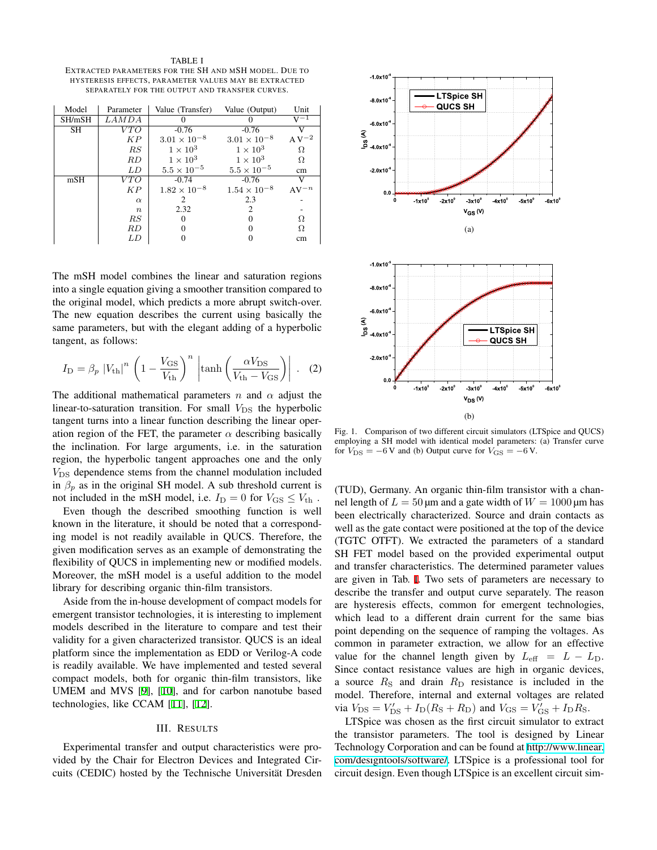<span id="page-1-0"></span>TABLE I EXTRACTED PARAMETERS FOR THE SH AND MSH MODEL. DUE TO HYSTERESIS EFFECTS, PARAMETER VALUES MAY BE EXTRACTED SEPARATELY FOR THE OUTPUT AND TRANSFER CURVES.

| Model  | Parameter        | Value (Transfer)      | Value (Output)        | Unit                           |
|--------|------------------|-----------------------|-----------------------|--------------------------------|
| SH/mSH | LAMDA            |                       |                       |                                |
| SH     | VTO              | $-0.76$               | $-0.76$               | V                              |
|        | ΚP               | $3.01 \times 10^{-8}$ | $3.01 \times 10^{-8}$ | $\mathrm{A}\, \mathrm{V}^{-2}$ |
|        | RS               | $1 \times 10^3$       | $1 \times 10^3$       | Ω                              |
|        | RD               | $1 \times 10^3$       | $1 \times 10^3$       | Ω                              |
|        | LD               | $5.5 \times 10^{-5}$  | $5.5 \times 10^{-5}$  | cm                             |
| mSH    | VTO              | $-0.74$               | $-0.76$               | V                              |
|        | KP               | $1.82 \times 10^{-8}$ | $1.54 \times 10^{-8}$ | $AV^{-n}$                      |
|        | $\alpha$         |                       | 2.3                   |                                |
|        | $\boldsymbol{n}$ | 2.32                  | 2                     |                                |
|        | $_{RS}$          |                       |                       | Ω                              |
|        | RD               |                       |                       | Ω                              |
|        | LD               |                       |                       | cm                             |

The mSH model combines the linear and saturation regions into a single equation giving a smoother transition compared to the original model, which predicts a more abrupt switch-over. The new equation describes the current using basically the same parameters, but with the elegant adding of a hyperbolic tangent, as follows:

$$
I_{\rm D} = \beta_p |V_{\rm th}|^n \left(1 - \frac{V_{\rm GS}}{V_{\rm th}}\right)^n \left|\tanh\left(\frac{\alpha V_{\rm DS}}{V_{\rm th} - V_{\rm GS}}\right)\right| \,. \tag{2}
$$

The additional mathematical parameters *n* and  $\alpha$  adjust the linear-to-saturation transition. For small  $V_{DS}$  the hyperbolic tangent turns into a linear function describing the linear operation region of the FET, the parameter  $\alpha$  describing basically the inclination. For large arguments, i.e. in the saturation region, the hyperbolic tangent approaches one and the only *V*<sub>DS</sub> dependence stems from the channel modulation included in  $\beta_p$  as in the original SH model. A sub threshold current is not included in the mSH model, i.e.  $I_D = 0$  for  $V_{\text{GS}} \leq V_{\text{th}}$ .

Even though the described smoothing function is well known in the literature, it should be noted that a corresponding model is not readily available in QUCS. Therefore, the given modification serves as an example of demonstrating the flexibility of QUCS in implementing new or modified models. Moreover, the mSH model is a useful addition to the model library for describing organic thin-film transistors.

Aside from the in-house development of compact models for emergent transistor technologies, it is interesting to implement models described in the literature to compare and test their validity for a given characterized transistor. QUCS is an ideal platform since the implementation as EDD or Verilog-A code is readily available. We have implemented and tested several compact models, both for organic thin-film transistors, like UMEM and MVS [\[9](#page-2-8)], [\[10](#page-2-9)], and for carbon nanotube based technologies, like CCAM [[11\]](#page-2-10), [\[12](#page-2-11)].

# III. RESULTS

Experimental transfer and output characteristics were provided by the Chair for Electron Devices and Integrated Circuits (CEDIC) hosted by the Technische Universität Dresden



<span id="page-1-1"></span>Fig. 1. Comparison of two different circuit simulators (LTSpice and QUCS) employing a SH model with identical model parameters: (a) Transfer curve for  $V_{DS} = -6$  V and (b) Output curve for  $V_{GS} = -6$  V.

(TUD), Germany. An organic thin-film transistor with a channel length of  $L = 50 \mu m$  and a gate width of  $W = 1000 \mu m$  has been electrically characterized. Source and drain contacts as well as the gate contact were positioned at the top of the device (TGTC OTFT). We extracted the parameters of a standard SH FET model based on the provided experimental output and transfer characteristics. The determined parameter values are given in Tab. [I.](#page-1-0) Two sets of parameters are necessary to describe the transfer and output curve separately. The reason are hysteresis effects, common for emergent technologies, which lead to a different drain current for the same bias point depending on the sequence of ramping the voltages. As common in parameter extraction, we allow for an effective value for the channel length given by  $L_{\text{eff}} = L - L_D$ . Since contact resistance values are high in organic devices, a source  $R_\text{S}$  and drain  $R_\text{D}$  resistance is included in the model. Therefore, internal and external voltages are related via  $V_{\text{DS}} = V'_{\text{DS}} + I_{\text{D}}(R_{\text{S}} + R_{\text{D}})$  and  $V_{\text{GS}} = V'_{\text{GS}} + I_{\text{D}}R_{\text{S}}$ .

LTSpice was chosen as the first circuit simulator to extract the transistor parameters. The tool is designed by Linear Technology Corporation and can be found at [http://www.linear.](http://www.linear.com/designtools/software/) [com/designtools/software/](http://www.linear.com/designtools/software/). LTSpice is a professional tool for circuit design. Even though LTSpice is an excellent circuit sim-